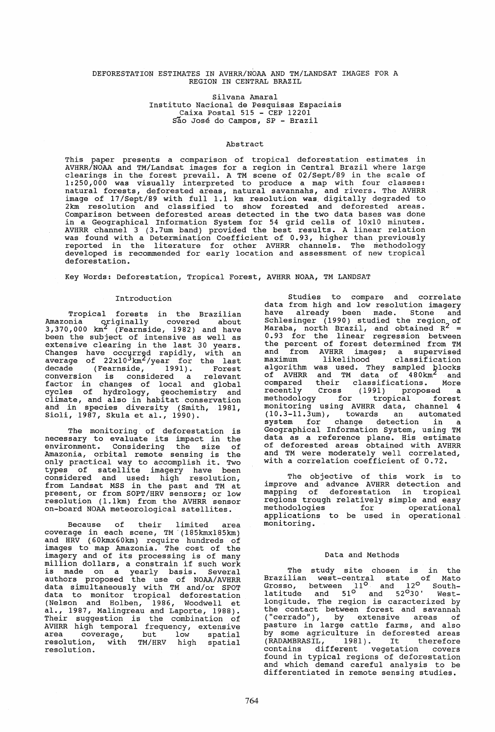## DEFORESTATION ESTIMATES IN AVHRR/NOAA AND TM/LANDSAT IMAGES FOR A REGION IN CENTRAL BRAZIL

Silvana Amaral Instituto Nacional de Pesquisas Espaciais Caixa Postal 515 - CEP 12201 Sao Jose do Campos, SP - Brazil

# Abstract

This paper presents a comparison of tropical deforestation estimates in AVHRR/NOAA and TM/Landsat images for a region in Central Brazil where large clearings in the forest prevail. A TM scene of 02/Sept/89 in the scale of 1:250,000 was visually interpreted to produce a map with four classes: natural forests, deforested areas, natural savannahs, and rivers. The AVHRR image of 17/Sept/89 with full 1.1 km resolution was, digitally degraded to 2km resolution and classified to show forested and deforested areas.<br>Comparison between deforested areas detected in the two data bases was done in a Geographical Information System for 54 grid cells of 10xl0 minutes. AVHRR channel 3 (3.7um band) provided the best results. A linear relation was found with a Determination Coefficient of 0.93, higher than previously reported in the literature for other AVHRR channels. The methodology developed is recommended for early location and assessment of new tropical deforestation.

Key Words: Deforestation, Tropical Forest, AVHRR NOAA, TM LANDSAT

### Introduction

Tropical forests in the Brazilian Amazonia originally covered about  $3,370,000$   $km^2$  (Fearnside, 1982) and have been the subject of intensive as well as extensive clearing in the last 30 years. Changes have occurred rapidly, with an<br>average of 22x10<sup>3</sup>km<sup>2</sup>/year for the last decade (Fearnside, 1991). Forest conversion is considered a relevant factor in changes of local and global cycles of hydrology, geochemistry and climate, and also in habitat conservation and in species diversity (Smith, 1981,<br>Sioli, 1987, Skula et al., 1990).

The monitoring of deforestation is necessary to evaluate its impact in the environment. Considering the size of Amazonia, orbital remote sensing is the only practical way to accomplish it. Two only preceded way to accomplish it. Two considered and used: high resolution, from Landsat MSS in the past and TM at present, or from SOPT/HRV sensors; or low resolution (l.lkm) from the AVHRR sensor on-board NOAA meteorological satellites.

Because of their limited area coverage in each scene, TM '(185kmx185km) and HRV (60kmx60km) require hundreds of images to map Amazonia. The cost of the imagery and of its processing is of many imagery and of its processing is of many<br>million dollars, a constrain if such work and a senserant of the made on a yearly basis. Several authors proposed the use of NOAA/AVHRR data simultaneously with TM and/or SPOT data to monitor tropical deforestation (Nelson and Holben, 1986, Woodwell et al., 1987, Malingreau and Laporte, 1988). Their suggestion is the combination of AVHRR high temporal frequency, extensive area coverage, but low spatial resolution, with TM/HRV high spatial resolution.

Studies to compare and correlate data from high and low resolution imagery<br>have already been made. Stone and have already been made. Stone and Schlesinger (1990) studied the region of Maraba, north Brazil, and obtained  $R^2$  = 0.93 for the linear regression between the percent of forest determined from TM and from AVHRR images; a supervised maximum likelihood classification algorithm was used. They sampled blocks<br>of AVHRR and TM data of 480km<sup>2</sup> and compared their classifications. More recently Cross (1991) proposed a methodology for tropical forest monitoring using AVHRR data, channel 4 (10.3-11.3um), towards an automated system for change detection in a Geographical Information System, using TM data as a reference plane. His estimate of deforested areas obtained with AVHRR and TM were moderately well correlated, with a correlation coefficient of 0.72.

The objective of this work is to improve and advance AVHRR detection and mapping of deforestation in tropical regions trough relatively simple and easy methodologies for operational applications to be used in operational monitoring.

#### Data and Methods

The study site chosen is in the Brazilian west-central state of Mato Grosso, between 11<sup>0</sup> and 12<sup>0</sup> South-<br>latitude and 51<sup>0</sup> and 52<sup>0</sup>30' Westlongitude. The region is caracterized by the contact between forest and savannah ("cerrado"), by extensive areas of pasture in large cattle farms, and also by some agriculture in deforested areas<br>(RADAMBRASIL, 1981). It therefore contains different vegetation covers found in typical regions of deforestation and which demand careful analysis to be differentiated in remote sensing studies.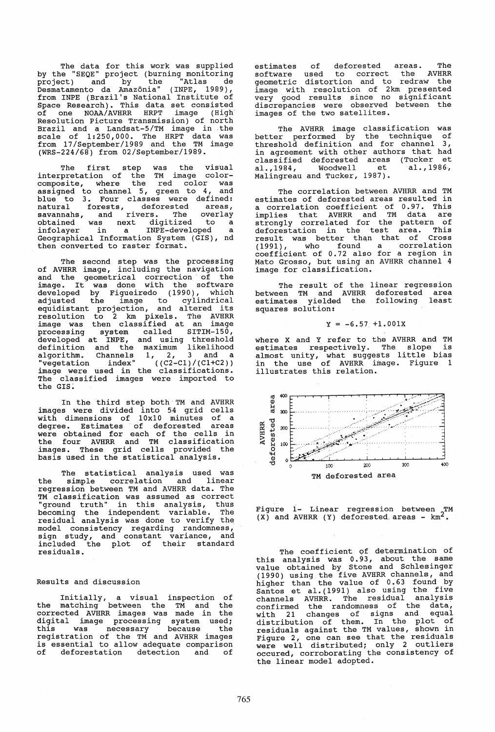The data for this work was supplied by the "SEQE" project (burning monitoring project) and by the "Atlas de Desmatamento da Amazonia" ( INPE, 1989) , from INPE (Brazil's National Institute of space Research). This data set consisted<br>of one NOAA/AVHRR HRPT image (High of one NOAA/AVHRR HRPT image (High' Resolution Picture Transmission) of north Brazil and a Landsat-5/TM image in the scale of 1:250,000. The HRPT data was from 17/September/1989 and the TM image (WRS-224/68) from 02/September/1989.

The first step was the visual interpretation of the TM image colorcomposite, where the red color was assigned to channel 5, green to 4, and abbigned be bhanned by green to by the natural forests, deforested areas, natural forests, deforested areas,<br>savannahs, and rivers. The overlay savannans, and fivers. The overlay<br>obtained was next digitized to a<br>infolayer in a INPE-developed a<br>Geographical Information System (GIS), nd then converted to raster format.

The second step was the processing of AVHRR image, including the navigation and the geometrical correction of the image. It was done with the software developed by Figueiredo (1990), which adjusted the image to cylindrical equidistant projection, and altered its resolution to 2 km pixels. The AVHRR image was then classified at an image processing system called SITIM-150, developed at INPE, and using threshold definition and the maximum likelihood algorithm. Channels 1, 2, 3 and a<br>"vegetation index" ((C2-C1)/(C1+C2)) image were used in the classifications. The classified images were imported to the GIS.

In the third step both TM and AVHRR images were divided into 54 grid cells with dimensions of 10x10 minutes of a degree. Estimates of deforested areas<br>were obtained for each of the cells in the four AVHRR and TM classification images. These grid cells provided the basis used in the statistical analysis.

The statistical analysis used was the simple correlation and linear regression between TM and AVHRR data. The TM classification was assumed as correct "ground truth" in this analysis, thus becoming the independent variable. The residual analysis was done to verify the model consistency regarding randomness, sign study, and constant variance, and included the plot of their standard residuals.

# Results and discussion

Initially, a visual inspection of the matching between the TM and the corrected AVHRR images was made in the digital image processing system used; this was necessary because the this was necessary because the<br>registration of the TM and AVHRR images is essential to allow adequate comparison<br>of deforestation detection and of deforestation detection and of

estimates of deforested areas. The software used to correct the AVHRR geometric distortion and to redraw the image with resolution of 2km presented very good results since no significant discrepancies were observed between the images of the two satellites.

The AVHRR image classification was better performed by the technique of threshold definition and for channel  $3$ , in agreement with other authors that had<br>classified deforested areas (Tucker et classified deforested areas (Tucker et al.,1984, Woodwell et al.,1986·, Malingreau and Tucker, 1987).

The correlation between AVHRR and TM<br>estimates of deforested areas resulted in estimates of deforested areas resulted in a correlation coefficient of 0.97. This implies that AVHRR and TM data are strongly correlated for the pattern of deforestation in the test area. This result was better than that of Cross (1991) , who found' a correlation coefficient of 0.72 also for a region in Mato Grosso, but using an AVHRR channel 4 image for classification.

The result of the linear regression between TM and AVHRR deforested area estimates yielded the following least squares solution:

$$
Y = -6.57 + 1.001X
$$

where X and Y refer to the AVHRR and TM where A and I refer to the firmula interestimates respectively. The slope is<br>almost unity, what suggests little bias in the use of AVHRR image. Figure 1 illustrates this relation.



Figure 1- Linear regression between TM  $(X)$  and AVHRR  $(Y)$  deforested areas -  $km^2$ 

The coefficient of determination of this analysis was 0.93, about the same<br>value obtained by Stone and Schlesinger (1990) using the five AVHRR channels, and higher than the value of 0.63 found by<br>Santos et al. (1991) also using the five channels AVHRR. The residual analysis confirmed the randomness of the data, with 21 changes of signs and equal with  $21$  changes of signs and open residuals against the TM values, shown in residuals against the in the residuals were well distributed; only 2 outliers occured, corroborating the consistency of the linear model adopted.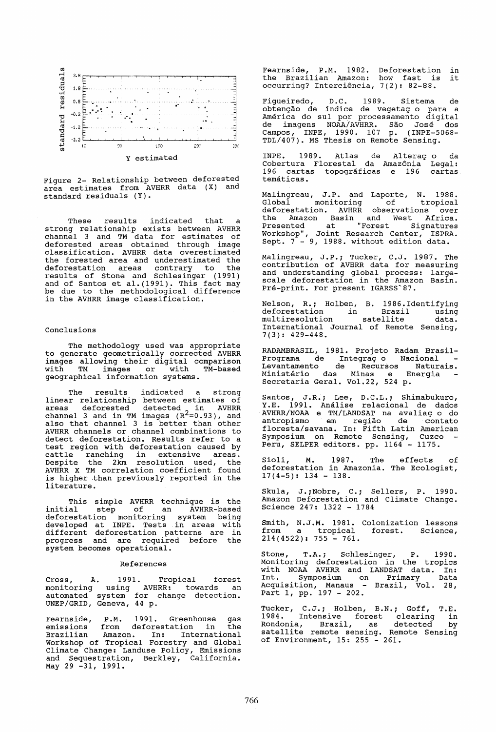

Figure 2- Relationship between deforested area estimates from AVHRR data (X) and standard residuals (Y).

These results indicated that a strong relationship exists between AVHRR channel 3 and TM data for estimates of deforested areas obtained through image classification. AVHRR data overestimated the forested area and underestimated the<br>deforestation areas contrary to the deforestation areas contrary to the results of stone and Schlesinger (1991) esures of Scone and Schlesinger (1991)<br>and of Santos et al.(1991). This fact may and of sances of div(1991). This race may in the AVHRR image classification.

## Conclusions

The methodology used was appropriate to generate geometrically corrected AVHRR images allowing their digital comparison with TM images or with TM-based geographical information systems.

The results indicated a strong linear relationship between estimates of<br>areas deforested detected in AVHRR channel 3 and in TM images  $(R^2=0.93)$ , and enamnel 3 and 1n in images (R -0.33), and<br>also that channel 3 is better than other AVHRR channels or channel combinations to test region with deforestation caused by cattle ranching in extensive areas.<br>Despite the 2km resolution used, the AVHRR X TM correlation coefficient found is higher than previously reported in the literature.

This simple AVHRR technique is the initial step of an AVHRR-based deforestation monitoring system being developed at INPE. Tests in areas with different deforestation patterns are in progress and are required before the system becomes operational.

#### References

Cross, A. 1991. Tropical forest monitoring using AVHRR: towards an automated system for change detection. UNEP/GRID, Geneva, 44 p.

Fearnside, P.M. 1991. Greenhouse gas emissions from deforestation in the Brazilian Amazon. In: International Workshop of Tropical Forestry and Global Climate Change: Landuse Policy, Emissions and Sequestration, Berkley, California. May 29 -31, 1991.

Fearnside, P.M. 1982. Deforestation in the Brazilian Amazon: how fast is it occurring? Interciencia, 7(2): 82-88.

Figueiredo, D.C. 1989. Sistema de obíenção de índice de vegetaç o para a<br>América do sul por processamento digital de imagens NOAA/AVHRR. São José dos Campos, INPE, 1990. 107 p. (INPE-5068- TDL/407). MS Thesis on Remote Sensing.

INPE. 1989. Atlas de Altera<mark>ç</mark>o da Cobertura Florestal da Amazonia Legal: 196 cartas topograficas e 196 cartas. tematicas.

Malingreau, J.P. and Laporte, N. 1988.<br>Global monitoring of tropical Global monitoring of tropical<br>deforestation. AVHRR observations over deforestation. AVHRR observations over the Amazon Basin and West' Africa. Presented at "Forest Signatures" Workshop", Joint Research Center, ISPRA. Sept. 7 - 9, 1988. without edition data.

Malingreau, J.P.; Tucker, C.J. 1987. The contribution of AVHRR data for measuring and understanding global process: largescale deforestation in the Amazon Basin. pre-print. For present IGARSS'87.

Nelson, R.; Holben, B. 1986. Identifying deforestation in Brazil using multiresolution satellite data. International Journal of Remote Sensing, 7(3): 429-448.

RADAMBRASIL, 1981. Projeto Radam Brasil-Programa de Integraço Nacional Levantamento de Recursos Naturais. Ministerio das Minas e Energia Secretaria Geral. Vol.22, 524 p.

Santos, J.R.; Lee, *D.C.L.i* Shimabukuro, Y.E. 1991. Analise relacional de dados AVHRR/NOAA e TM/LANDSAT na avaliaç o do antropismo em regiao de contato floresta/savana. In: Fifth Latin American Symposium on Remote Sensing, cuzco Peru, SELPER editors. pp. 1164 - 1175.

Sioli, M. 1987. The effects of deforestation in Amazonia. The Ecologist,  $17(4-5): 134 - 138.$ 

Skula, J.;Nobre, C.; Sellers, P. 1990. Amazon Deforestation and Climate Change. Science 247: 1322 - 1784

Smith, N.J.M. 1981. from a tropical 214(4522): 755 - 761. Colonization lessons forest. Science,

Stone, T.A.; Schlesinger, P. 1990. Monitoring deforestation in the tropics with NOAA AVHRR and LANDSAT data. In: aren hein heind and hinten data. In:<br>Int. Symposium on Primary Data Acquisition, Manaus - Brazil, Vol. 28, Part 1, pp. 197 - 202.

Tucker, C.J.; Holben, B.N.; Goff, T.E. 1984. Intensive forest clearing in Prodonia, Brazil, as detected by<br>satellite remote sensing. Remote Sensing of Environment, 15: 255 - 261.